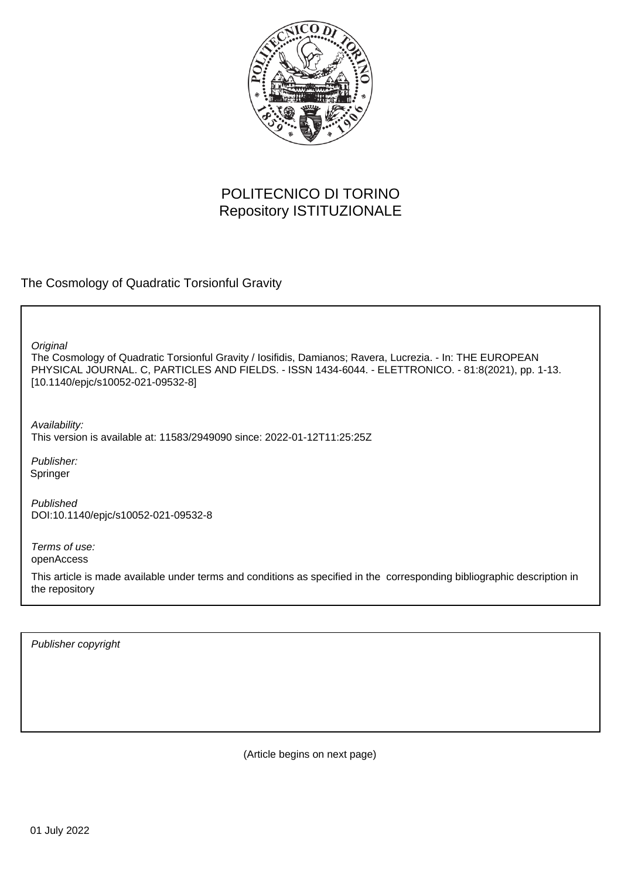

# POLITECNICO DI TORINO Repository ISTITUZIONALE

The Cosmology of Quadratic Torsionful Gravity

**Original** 

The Cosmology of Quadratic Torsionful Gravity / Iosifidis, Damianos; Ravera, Lucrezia. - In: THE EUROPEAN PHYSICAL JOURNAL. C, PARTICLES AND FIELDS. - ISSN 1434-6044. - ELETTRONICO. - 81:8(2021), pp. 1-13. [10.1140/epjc/s10052-021-09532-8]

Availability: This version is available at: 11583/2949090 since: 2022-01-12T11:25:25Z

Publisher: Springer

Published DOI:10.1140/epjc/s10052-021-09532-8

Terms of use: openAccess

This article is made available under terms and conditions as specified in the corresponding bibliographic description in the repository

Publisher copyright

(Article begins on next page)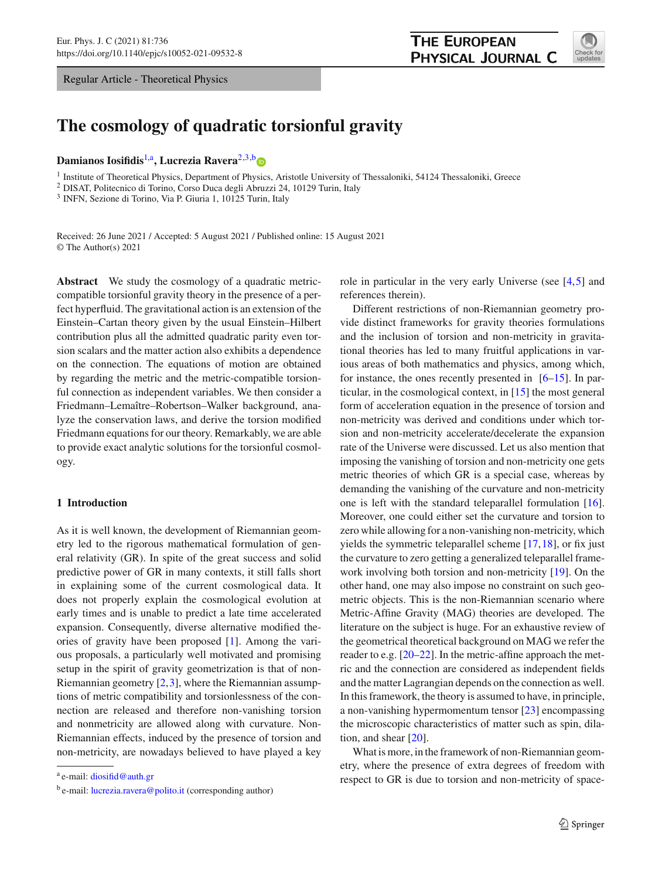Regular Article - Theoretical Physics



# **The cosmology of quadratic torsionful gravity**

**Damianos Iosifidis<sup>1,a</sup>, Lucrezia Ravera<sup>2,3,[b](http://orcid.org/0000-0003-4516-5127)</sup>** 

<sup>1</sup> Institute of Theoretical Physics, Department of Physics, Aristotle University of Thessaloniki, 54124 Thessaloniki, Greece

<sup>2</sup> DISAT, Politecnico di Torino, Corso Duca degli Abruzzi 24, 10129 Turin, Italy

<sup>3</sup> INFN, Sezione di Torino, Via P. Giuria 1, 10125 Turin, Italy

Received: 26 June 2021 / Accepted: 5 August 2021 / Published online: 15 August 2021 © The Author(s) 2021

**Abstract** We study the cosmology of a quadratic metriccompatible torsionful gravity theory in the presence of a perfect hyperfluid. The gravitational action is an extension of the Einstein–Cartan theory given by the usual Einstein–Hilbert contribution plus all the admitted quadratic parity even torsion scalars and the matter action also exhibits a dependence on the connection. The equations of motion are obtained by regarding the metric and the metric-compatible torsionful connection as independent variables. We then consider a Friedmann–Lemaître–Robertson–Walker background, analyze the conservation laws, and derive the torsion modified Friedmann equations for our theory. Remarkably, we are able to provide exact analytic solutions for the torsionful cosmology.

# **1 Introduction**

As it is well known, the development of Riemannian geometry led to the rigorous mathematical formulation of general relativity (GR). In spite of the great success and solid predictive power of GR in many contexts, it still falls short in explaining some of the current cosmological data. It does not properly explain the cosmological evolution at early times and is unable to predict a late time accelerated expansion. Consequently, diverse alternative modified theories of gravity have been proposed [1]. Among the various proposals, a particularly well motivated and promising setup in the spirit of gravity geometrization is that of non-Riemannian geometry  $[2,3]$ , where the Riemannian assumptions of metric compatibility and torsionlessness of the connection are released and therefore non-vanishing torsion and nonmetricity are allowed along with curvature. Non-Riemannian effects, induced by the presence of torsion and non-metricity, are nowadays believed to have played a key

role in particular in the very early Universe (see [4,5] and references therein).

Different restrictions of non-Riemannian geometry provide distinct frameworks for gravity theories formulations and the inclusion of torsion and non-metricity in gravitational theories has led to many fruitful applications in various areas of both mathematics and physics, among which, for instance, the ones recently presented in  $[6–15]$ . In particular, in the cosmological context, in [15] the most general form of acceleration equation in the presence of torsion and non-metricity was derived and conditions under which torsion and non-metricity accelerate/decelerate the expansion rate of the Universe were discussed. Let us also mention that imposing the vanishing of torsion and non-metricity one gets metric theories of which GR is a special case, whereas by demanding the vanishing of the curvature and non-metricity one is left with the standard teleparallel formulation [16]. Moreover, one could either set the curvature and torsion to zero while allowing for a non-vanishing non-metricity, which yields the symmetric teleparallel scheme [17,18], or fix just the curvature to zero getting a generalized teleparallel framework involving both torsion and non-metricity [19]. On the other hand, one may also impose no constraint on such geometric objects. This is the non-Riemannian scenario where Metric-Affine Gravity (MAG) theories are developed. The literature on the subject is huge. For an exhaustive review of the geometrical theoretical background on MAG we refer the reader to e.g. [20–22]. In the metric-affine approach the metric and the connection are considered as independent fields and the matter Lagrangian depends on the connection as well. In this framework, the theory is assumed to have, in principle, a non-vanishing hypermomentum tensor [23] encompassing the microscopic characteristics of matter such as spin, dilation, and shear [20].

What is more, in the framework of non-Riemannian geometry, where the presence of extra degrees of freedom with respect to GR is due to torsion and non-metricity of space-

<sup>a</sup> e-mail: [diosifid@auth.gr](mailto:diosifid@auth.gr)

b e-mail: [lucrezia.ravera@polito.it](mailto:lucrezia.ravera@polito.it) (corresponding author)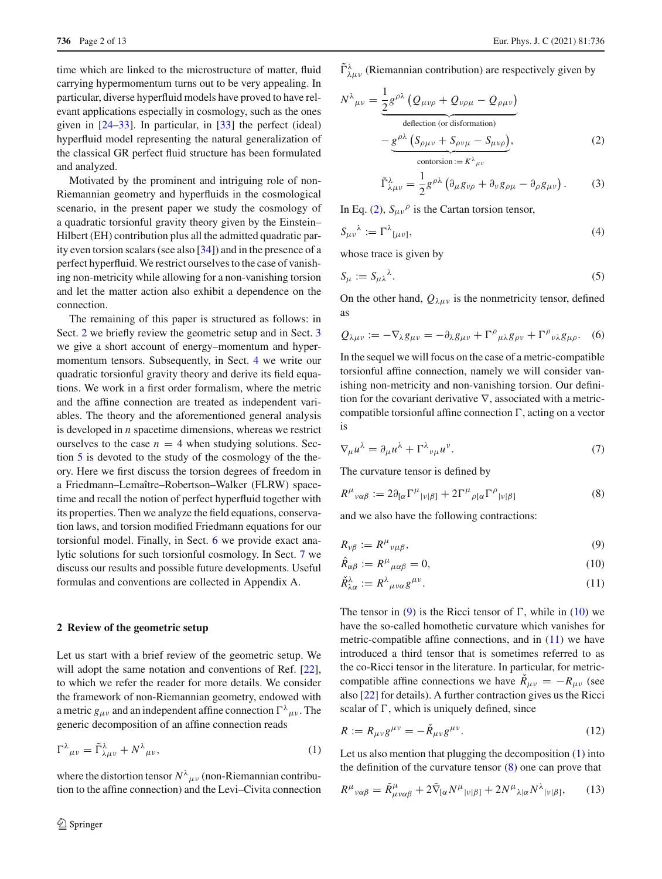time which are linked to the microstructure of matter, fluid carrying hypermomentum turns out to be very appealing. In particular, diverse hyperfluid models have proved to have relevant applications especially in cosmology, such as the ones given in [24–33]. In particular, in [33] the perfect (ideal) hyperfluid model representing the natural generalization of the classical GR perfect fluid structure has been formulated and analyzed.

Motivated by the prominent and intriguing role of non-Riemannian geometry and hyperfluids in the cosmological scenario, in the present paper we study the cosmology of a quadratic torsionful gravity theory given by the Einstein– Hilbert (EH) contribution plus all the admitted quadratic parity even torsion scalars (see also [34]) and in the presence of a perfect hyperfluid. We restrict ourselves to the case of vanishing non-metricity while allowing for a non-vanishing torsion and let the matter action also exhibit a dependence on the connection.

The remaining of this paper is structured as follows: in Sect. 2 we briefly review the geometric setup and in Sect. 3 we give a short account of energy–momentum and hypermomentum tensors. Subsequently, in Sect. 4 we write our quadratic torsionful gravity theory and derive its field equations. We work in a first order formalism, where the metric and the affine connection are treated as independent variables. The theory and the aforementioned general analysis is developed in *n* spacetime dimensions, whereas we restrict ourselves to the case  $n = 4$  when studying solutions. Section 5 is devoted to the study of the cosmology of the theory. Here we first discuss the torsion degrees of freedom in a Friedmann–Lemaître–Robertson–Walker (FLRW) spacetime and recall the notion of perfect hyperfluid together with its properties. Then we analyze the field equations, conservation laws, and torsion modified Friedmann equations for our torsionful model. Finally, in Sect. 6 we provide exact analytic solutions for such torsionful cosmology. In Sect. 7 we discuss our results and possible future developments. Useful formulas and conventions are collected in Appendix A.

## **2 Review of the geometric setup**

Let us start with a brief review of the geometric setup. We will adopt the same notation and conventions of Ref. [22], to which we refer the reader for more details. We consider the framework of non-Riemannian geometry, endowed with a metric  $g_{\mu\nu}$  and an independent affine connection  $\Gamma^{\lambda}{}_{\mu\nu}$ . The generic decomposition of an affine connection reads

$$
\Gamma^{\lambda}{}_{\mu\nu} = \tilde{\Gamma}^{\lambda}{}_{\lambda\mu\nu} + N^{\lambda}{}_{\mu\nu},\tag{1}
$$

where the distortion tensor  $N^{\lambda}{}_{\mu\nu}$  (non-Riemannian contribution to the affine connection) and the Levi–Civita connection  $\tilde{\Gamma}^{\lambda}_{\lambda\mu\nu}$  (Riemannian contribution) are respectively given by

$$
N^{\lambda}{}_{\mu\nu} = \underbrace{\frac{1}{2}g^{\rho\lambda}\left(Q_{\mu\nu\rho} + Q_{\nu\rho\mu} - Q_{\rho\mu\nu}\right)}_{\text{deflection (or disformation)}} - \underbrace{g^{\rho\lambda}\left(S_{\rho\mu\nu} + S_{\rho\nu\mu} - S_{\mu\nu\rho}\right)}_{\text{contorsion} := K^{\lambda}{}_{\mu\nu}},
$$
\n(2)

$$
\tilde{\Gamma}^{\lambda}_{\lambda\mu\nu} = \frac{1}{2} g^{\rho\lambda} \left( \partial_{\mu} g_{\nu\rho} + \partial_{\nu} g_{\rho\mu} - \partial_{\rho} g_{\mu\nu} \right). \tag{3}
$$

In Eq. (2),  $S_{\mu\nu}^{\rho}$  is the Cartan torsion tensor,

$$
S_{\mu\nu}{}^{\lambda} := \Gamma^{\lambda}{}_{[\mu\nu]},\tag{4}
$$

whose trace is given by

$$
S_{\mu} := S_{\mu\lambda}{}^{\lambda}.
$$
 (5)

On the other hand,  $Q_{\lambda\mu\nu}$  is the nonmetricity tensor, defined as

$$
Q_{\lambda\mu\nu} := -\nabla_{\lambda}g_{\mu\nu} = -\partial_{\lambda}g_{\mu\nu} + \Gamma^{\rho}{}_{\mu\lambda}g_{\rho\nu} + \Gamma^{\rho}{}_{\nu\lambda}g_{\mu\rho}.
$$
 (6)

In the sequel we will focus on the case of a metric-compatible torsionful affine connection, namely we will consider vanishing non-metricity and non-vanishing torsion. Our definition for the covariant derivative  $\nabla$ , associated with a metriccompatible torsionful affine connection  $\Gamma$ , acting on a vector is

$$
\nabla_{\mu} u^{\lambda} = \partial_{\mu} u^{\lambda} + \Gamma^{\lambda}{}_{\nu\mu} u^{\nu}.
$$
 (7)

The curvature tensor is defined by

$$
R^{\mu}{}_{\nu\alpha\beta} := 2\partial_{[\alpha}\Gamma^{\mu}{}_{|\nu|\beta]} + 2\Gamma^{\mu}{}_{\rho[\alpha}\Gamma^{\rho}{}_{|\nu|\beta]} \tag{8}
$$

and we also have the following contractions:

$$
R_{\nu\beta} := R^{\mu}{}_{\nu\mu\beta},\tag{9}
$$

$$
\hat{R}_{\alpha\beta} := R^{\mu}{}_{\mu\alpha\beta} = 0,\tag{10}
$$

$$
\check{R}^{\lambda}_{\lambda\alpha} := R^{\lambda}{}_{\mu\nu\alpha} g^{\mu\nu}.
$$
\n(11)

The tensor in (9) is the Ricci tensor of  $\Gamma$ , while in (10) we have the so-called homothetic curvature which vanishes for metric-compatible affine connections, and in  $(11)$  we have introduced a third tensor that is sometimes referred to as the co-Ricci tensor in the literature. In particular, for metriccompatible affine connections we have  $R_{\mu\nu} = -R_{\mu\nu}$  (see also [22] for details). A further contraction gives us the Ricci scalar of  $\Gamma$ , which is uniquely defined, since

$$
R := R_{\mu\nu}g^{\mu\nu} = -\check{R}_{\mu\nu}g^{\mu\nu}.
$$
 (12)

Let us also mention that plugging the decomposition (1) into the definition of the curvature tensor  $(8)$  one can prove that

$$
R^{\mu}{}_{\nu\alpha\beta} = \tilde{R}^{\mu}_{\mu\nu\alpha\beta} + 2\tilde{\nabla}_{[\alpha}N^{\mu}{}_{|\nu|\beta]} + 2N^{\mu}{}_{\lambda|\alpha}N^{\lambda}{}_{|\nu|\beta]},\tag{13}
$$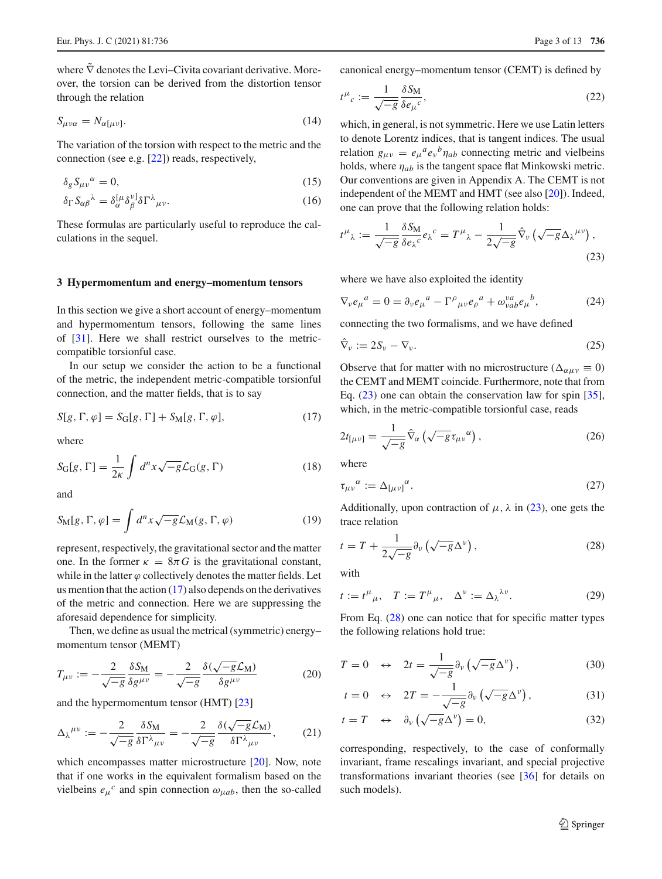where  $\tilde{\nabla}$  denotes the Levi–Civita covariant derivative. Moreover, the torsion can be derived from the distortion tensor through the relation

$$
S_{\mu\nu\alpha} = N_{\alpha[\mu\nu]}.\tag{14}
$$

The variation of the torsion with respect to the metric and the connection (see e.g. [22]) reads, respectively,

$$
\delta_g S_{\mu\nu}{}^{\alpha} = 0,\tag{15}
$$

$$
\delta_{\Gamma} S_{\alpha\beta}{}^{\lambda} = \delta_{\alpha}^{[\mu} \delta_{\beta}^{\nu]} \delta{\Gamma}^{\lambda}{}_{\mu\nu}.
$$
 (16)

These formulas are particularly useful to reproduce the calculations in the sequel.

## **3 Hypermomentum and energy–momentum tensors**

In this section we give a short account of energy–momentum and hypermomentum tensors, following the same lines of [31]. Here we shall restrict ourselves to the metriccompatible torsionful case.

In our setup we consider the action to be a functional of the metric, the independent metric-compatible torsionful connection, and the matter fields, that is to say

$$
S[g, \Gamma, \varphi] = S_G[g, \Gamma] + S_M[g, \Gamma, \varphi], \tag{17}
$$

where

$$
S_{\mathcal{G}}[g,\Gamma] = \frac{1}{2\kappa} \int d^n x \sqrt{-g} \mathcal{L}_{\mathcal{G}}(g,\Gamma) \tag{18}
$$

and

$$
S_{\mathbf{M}}[g, \Gamma, \varphi] = \int d^n x \sqrt{-g} \mathcal{L}_{\mathbf{M}}(g, \Gamma, \varphi) \tag{19}
$$

represent, respectively, the gravitational sector and the matter one. In the former  $\kappa = 8\pi G$  is the gravitational constant, while in the latter  $\varphi$  collectively denotes the matter fields. Let us mention that the action  $(17)$  also depends on the derivatives of the metric and connection. Here we are suppressing the aforesaid dependence for simplicity.

Then, we define as usual the metrical (symmetric) energy– momentum tensor (MEMT)

$$
T_{\mu\nu} := -\frac{2}{\sqrt{-g}} \frac{\delta S_M}{\delta g^{\mu\nu}} = -\frac{2}{\sqrt{-g}} \frac{\delta(\sqrt{-g}\mathcal{L}_M)}{\delta g^{\mu\nu}} \tag{20}
$$

and the hypermomentum tensor (HMT) [23]

$$
\Delta_{\lambda}{}^{\mu\nu} := -\frac{2}{\sqrt{-g}} \frac{\delta S_M}{\delta \Gamma^{\lambda}{}_{\mu\nu}} = -\frac{2}{\sqrt{-g}} \frac{\delta(\sqrt{-g}\mathcal{L}_M)}{\delta \Gamma^{\lambda}{}_{\mu\nu}},\tag{21}
$$

which encompasses matter microstructure [20]. Now, note that if one works in the equivalent formalism based on the vielbeins  $e_{\mu}^{c}$  and spin connection  $\omega_{\mu ab}$ , then the so-called canonical energy–momentum tensor (CEMT) is defined by

$$
t^{\mu}{}_{c} := \frac{1}{\sqrt{-g}} \frac{\delta S_{\rm M}}{\delta e_{\mu}{}^{c}},\tag{22}
$$

which, in general, is not symmetric. Here we use Latin letters to denote Lorentz indices, that is tangent indices. The usual relation  $g_{\mu\nu} = e_{\mu}{}^{a} e_{\nu}{}^{b} \eta_{ab}$  connecting metric and vielbeins holds, where  $\eta_{ab}$  is the tangent space flat Minkowski metric. Our conventions are given in Appendix A. The CEMT is not independent of the MEMT and HMT (see also [20]). Indeed, one can prove that the following relation holds:

$$
t^{\mu}_{\ \lambda} := \frac{1}{\sqrt{-g}} \frac{\delta S_M}{\delta e_{\lambda}^{\ c}} e_{\lambda}^{\ c} = T^{\mu}_{\ \lambda} - \frac{1}{2\sqrt{-g}} \hat{\nabla}_{\nu} \left( \sqrt{-g} \Delta_{\lambda}^{\ \mu \nu} \right), \tag{23}
$$

where we have also exploited the identity

$$
\nabla_{\nu} e_{\mu}{}^{a} = 0 = \partial_{\nu} e_{\mu}{}^{a} - \Gamma^{\rho}{}_{\mu\nu} e_{\rho}{}^{a} + \omega^{\nu a}_{\nu ab} e_{\mu}{}^{b}, \qquad (24)
$$

connecting the two formalisms, and we have defined

$$
\hat{\nabla}_{\nu} := 2S_{\nu} - \nabla_{\nu}.
$$
\n(25)

Observe that for matter with no microstructure ( $\Delta_{\alpha\mu\nu} \equiv 0$ ) the CEMT and MEMT coincide. Furthermore, note that from Eq. (23) one can obtain the conservation law for spin [35], which, in the metric-compatible torsionful case, reads

$$
2t_{\lbrack \mu\nu\rbrack} = \frac{1}{\sqrt{-g}}\hat{\nabla}_{\alpha}\left(\sqrt{-g}\tau_{\mu\nu}{}^{\alpha}\right),\tag{26}
$$

where

$$
\tau_{\mu\nu}{}^{\alpha} := \Delta_{[\mu\nu]}{}^{\alpha}.
$$
\n(27)

Additionally, upon contraction of  $\mu$ ,  $\lambda$  in (23), one gets the trace relation

$$
t = T + \frac{1}{2\sqrt{-g}} \partial_{\nu} \left( \sqrt{-g} \Delta^{\nu} \right), \tag{28}
$$

with

$$
t := t^{\mu}{}_{\mu}, \quad T := T^{\mu}{}_{\mu}, \quad \Delta^{\nu} := \Delta_{\lambda}{}^{\lambda \nu}.
$$
 (29)

From Eq. (28) one can notice that for specific matter types the following relations hold true:

$$
T = 0 \quad \leftrightarrow \quad 2t = \frac{1}{\sqrt{-g}} \partial_{\nu} \left( \sqrt{-g} \Delta^{\nu} \right), \tag{30}
$$

$$
t = 0 \quad \leftrightarrow \quad 2T = -\frac{1}{\sqrt{-g}} \partial_{\nu} \left( \sqrt{-g} \Delta^{\nu} \right), \tag{31}
$$

$$
t = T \quad \leftrightarrow \quad \partial_{\nu} \left( \sqrt{-g} \Delta^{\nu} \right) = 0, \tag{32}
$$

corresponding, respectively, to the case of conformally invariant, frame rescalings invariant, and special projective transformations invariant theories (see [36] for details on such models).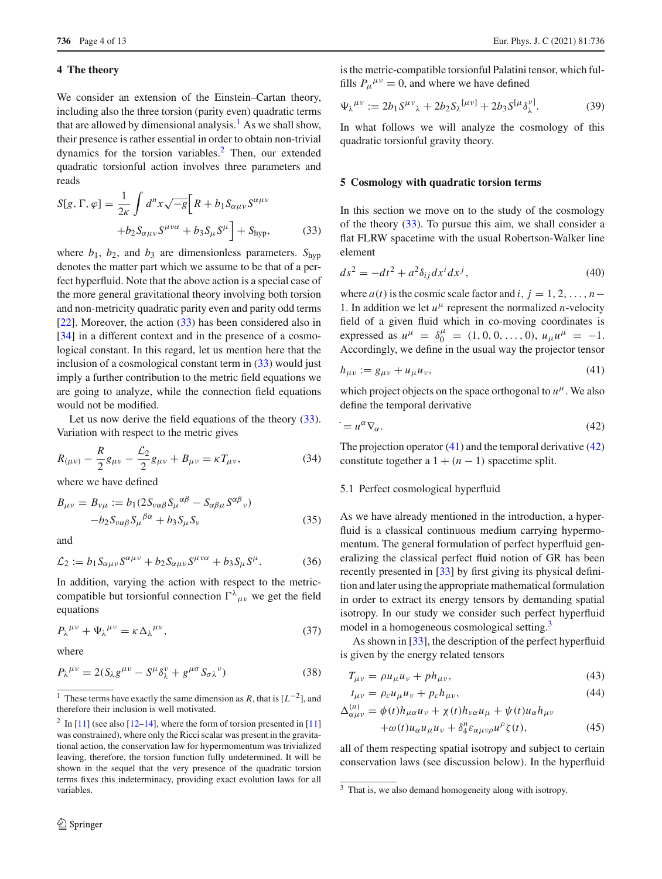# **4 The theory**

We consider an extension of the Einstein–Cartan theory, including also the three torsion (parity even) quadratic terms that are allowed by dimensional analysis.<sup>1</sup> As we shall show, their presence is rather essential in order to obtain non-trivial dynamics for the torsion variables.2 Then, our extended quadratic torsionful action involves three parameters and reads

$$
S[g, \Gamma, \varphi] = \frac{1}{2\kappa} \int d^n x \sqrt{-g} \Big[ R + b_1 S_{\alpha\mu\nu} S^{\alpha\mu\nu} + b_2 S_{\alpha\mu\nu} S^{\mu\nu\alpha} + b_3 S_{\mu} S^{\mu} \Big] + S_{\text{hyp}}, \tag{33}
$$

where  $b_1$ ,  $b_2$ , and  $b_3$  are dimensionless parameters.  $S_{hyp}$ denotes the matter part which we assume to be that of a perfect hyperfluid. Note that the above action is a special case of the more general gravitational theory involving both torsion and non-metricity quadratic parity even and parity odd terms [22]. Moreover, the action (33) has been considered also in [34] in a different context and in the presence of a cosmological constant. In this regard, let us mention here that the inclusion of a cosmological constant term in  $(33)$  would just imply a further contribution to the metric field equations we are going to analyze, while the connection field equations would not be modified.

Let us now derive the field equations of the theory (33). Variation with respect to the metric gives

$$
R_{(\mu\nu)} - \frac{R}{2}g_{\mu\nu} - \frac{\mathcal{L}_2}{2}g_{\mu\nu} + B_{\mu\nu} = \kappa T_{\mu\nu},\tag{34}
$$

where we have defined

$$
B_{\mu\nu} = B_{\nu\mu} := b_1 (2S_{\nu\alpha\beta} S_{\mu}{}^{\alpha\beta} - S_{\alpha\beta\mu} S^{\alpha\beta}{}_{\nu})
$$

$$
-b_2 S_{\nu\alpha\beta} S_{\mu}{}^{\beta\alpha} + b_3 S_{\mu} S_{\nu}
$$
(35)

and

$$
\mathcal{L}_2 := b_1 S_{\alpha\mu\nu} S^{\alpha\mu\nu} + b_2 S_{\alpha\mu\nu} S^{\mu\nu\alpha} + b_3 S_{\mu} S^{\mu}.
$$
 (36)

In addition, varying the action with respect to the metriccompatible but torsionful connection  $\int_{\mu\nu}^{\lambda}$  we get the field equations

$$
P_{\lambda}{}^{\mu\nu} + \Psi_{\lambda}{}^{\mu\nu} = \kappa \,\Delta_{\lambda}{}^{\mu\nu},\tag{37}
$$

where

$$
P_{\lambda}^{\mu\nu} = 2(S_{\lambda}g^{\mu\nu} - S^{\mu}\delta^{\nu}_{\lambda} + g^{\mu\sigma}S_{\sigma\lambda}^{\nu})
$$
\n(38)

is the metric-compatible torsionful Palatini tensor, which fulfills  $P_{\mu}{}^{\mu\nu} \equiv 0$ , and where we have defined

$$
\Psi_{\lambda}{}^{\mu\nu} := 2b_1 S^{\mu\nu}{}_{\lambda} + 2b_2 S_{\lambda}{}^{\{\mu\nu\}} + 2b_3 S^{\{\mu}{}_{\lambda}{}^{\nu\}}.
$$
 (39)

In what follows we will analyze the cosmology of this quadratic torsionful gravity theory.

#### **5 Cosmology with quadratic torsion terms**

In this section we move on to the study of the cosmology of the theory  $(33)$ . To pursue this aim, we shall consider a flat FLRW spacetime with the usual Robertson-Walker line element

$$
ds^2 = -dt^2 + a^2 \delta_{ij} dx^i dx^j,
$$
\n(40)

where  $a(t)$  is the cosmic scale factor and *i*,  $j = 1, 2, \ldots, n - 1$ 1. In addition we let  $u^{\mu}$  represent the normalized *n*-velocity field of a given fluid which in co-moving coordinates is expressed as  $u^{\mu} = \delta_0^{\mu} = (1, 0, 0, \dots, 0), u_{\mu} u^{\mu} = -1.$ Accordingly, we define in the usual way the projector tensor

$$
h_{\mu\nu} := g_{\mu\nu} + u_{\mu}u_{\nu},\tag{41}
$$

which project objects on the space orthogonal to  $u^{\mu}$ . We also define the temporal derivative

$$
\dot{=}u^{\alpha}\nabla_{\alpha}.\tag{42}
$$

The projection operator  $(41)$  and the temporal derivative  $(42)$ constitute together a  $1 + (n - 1)$  spacetime split.

## 5.1 Perfect cosmological hyperfluid

As we have already mentioned in the introduction, a hyperfluid is a classical continuous medium carrying hypermomentum. The general formulation of perfect hyperfluid generalizing the classical perfect fluid notion of GR has been recently presented in [33] by first giving its physical definition and later using the appropriate mathematical formulation in order to extract its energy tensors by demanding spatial isotropy. In our study we consider such perfect hyperfluid model in a homogeneous cosmological setting.<sup>3</sup>

As shown in [33], the description of the perfect hyperfluid is given by the energy related tensors

$$
T_{\mu\nu} = \rho u_{\mu} u_{\nu} + p h_{\mu\nu},\tag{43}
$$

$$
t_{\mu\nu} = \rho_c u_\mu u_\nu + p_c h_{\mu\nu},\tag{44}
$$

$$
\Delta_{\alpha\mu\nu}^{(n)} = \phi(t)h_{\mu\alpha}u_{\nu} + \chi(t)h_{\nu\alpha}u_{\mu} + \psi(t)u_{\alpha}h_{\mu\nu} + \omega(t)u_{\alpha}u_{\mu}u_{\nu} + \delta_4^n \varepsilon_{\alpha\mu\nu\rho}u^{\rho}\zeta(t),
$$
 (45)

all of them respecting spatial isotropy and subject to certain conservation laws (see discussion below). In the hyperfluid

These terms have exactly the same dimension as *R*, that is  $[L^{-2}]$ , and therefore their inclusion is well motivated.

<sup>&</sup>lt;sup>2</sup> In [11] (see also [12–14], where the form of torsion presented in [11] was constrained), where only the Ricci scalar was present in the gravitational action, the conservation law for hypermomentum was trivialized leaving, therefore, the torsion function fully undetermined. It will be shown in the sequel that the very presence of the quadratic torsion terms fixes this indeterminacy, providing exact evolution laws for all variables.

<sup>&</sup>lt;sup>3</sup> That is, we also demand homogeneity along with isotropy.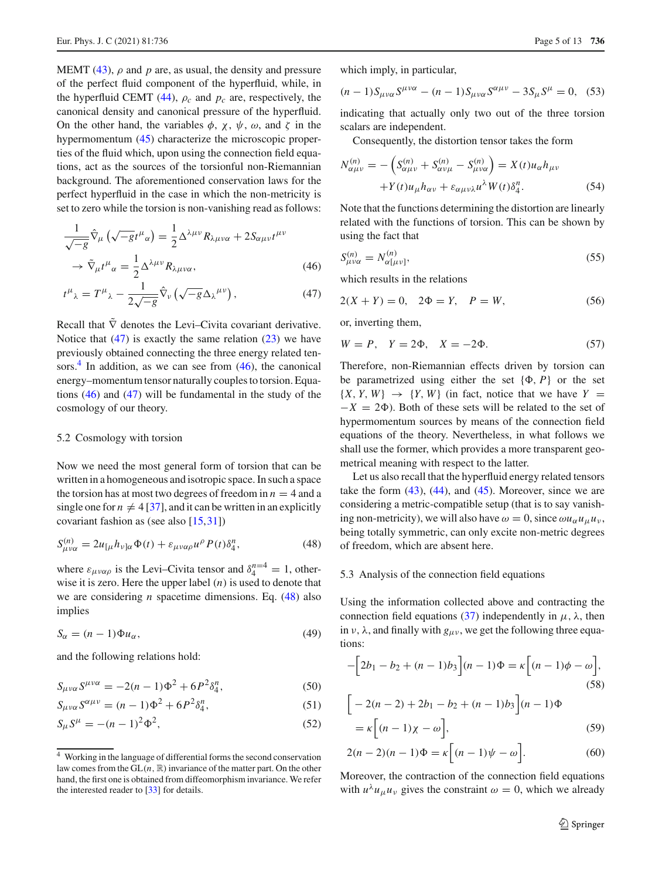MEMT (43),  $\rho$  and p are, as usual, the density and pressure of the perfect fluid component of the hyperfluid, while, in the hyperfluid CEMT (44),  $\rho_c$  and  $p_c$  are, respectively, the canonical density and canonical pressure of the hyperfluid. On the other hand, the variables  $\phi$ ,  $\chi$ ,  $\psi$ ,  $\omega$ , and  $\zeta$  in the hypermomentum (45) characterize the microscopic properties of the fluid which, upon using the connection field equations, act as the sources of the torsionful non-Riemannian background. The aforementioned conservation laws for the perfect hyperfluid in the case in which the non-metricity is set to zero while the torsion is non-vanishing read as follows:

$$
\frac{1}{\sqrt{-g}}\hat{\nabla}_{\mu}\left(\sqrt{-g}t^{\mu}_{\alpha}\right) = \frac{1}{2}\Delta^{\lambda\mu\nu}R_{\lambda\mu\nu\alpha} + 2S_{\alpha\mu\nu}t^{\mu\nu}
$$

$$
\rightarrow \tilde{\nabla}_{\mu}t^{\mu}_{\alpha} = \frac{1}{2}\Delta^{\lambda\mu\nu}R_{\lambda\mu\nu\alpha},\tag{46}
$$

$$
t^{\mu}_{\ \lambda} = T^{\mu}_{\ \lambda} - \frac{1}{2\sqrt{-g}} \hat{\nabla}_{\nu} \left( \sqrt{-g} \Delta_{\lambda}^{\ \mu \nu} \right), \tag{47}
$$

Recall that  $\tilde{\nabla}$  denotes the Levi–Civita covariant derivative. Notice that  $(47)$  is exactly the same relation  $(23)$  we have previously obtained connecting the three energy related tensors.<sup>4</sup> In addition, as we can see from  $(46)$ , the canonical energy–momentum tensor naturally couples to torsion. Equations (46) and (47) will be fundamental in the study of the cosmology of our theory.

# 5.2 Cosmology with torsion

Now we need the most general form of torsion that can be written in a homogeneous and isotropic space. In such a space the torsion has at most two degrees of freedom in  $n = 4$  and a single one for  $n \neq 4$  [37], and it can be written in an explicitly covariant fashion as (see also [15,31])

$$
S_{\mu\nu\alpha}^{(n)} = 2u_{\lbrack\mu}h_{\nu]\alpha}\Phi(t) + \varepsilon_{\mu\nu\alpha\rho}u^{\rho}P(t)\delta_{4}^{n},\tag{48}
$$

where  $\varepsilon_{\mu\nu\alpha\rho}$  is the Levi-Civita tensor and  $\delta_4^{n=4} = 1$ , otherwise it is zero. Here the upper label (*n*) is used to denote that we are considering *n* spacetime dimensions. Eq. (48) also implies

$$
S_{\alpha} = (n-1)\Phi u_{\alpha},\tag{49}
$$

and the following relations hold:

$$
S_{\mu\nu\alpha} S^{\mu\nu\alpha} = -2(n-1)\Phi^2 + 6P^2 \delta_4^n, \tag{50}
$$

$$
S_{\mu\nu\alpha} S^{\alpha\mu\nu} = (n-1)\Phi^2 + 6P^2 \delta_4^n, \tag{51}
$$

$$
S_{\mu}S^{\mu} = -(n-1)^2 \Phi^2, \tag{52}
$$

which imply, in particular,

$$
(n-1)S_{\mu\nu\alpha}S^{\mu\nu\alpha} - (n-1)S_{\mu\nu\alpha}S^{\alpha\mu\nu} - 3S_{\mu}S^{\mu} = 0, \quad (53)
$$

indicating that actually only two out of the three torsion scalars are independent.

Consequently, the distortion tensor takes the form

$$
N_{\alpha\mu\nu}^{(n)} = -\left(S_{\alpha\mu\nu}^{(n)} + S_{\alpha\nu\mu}^{(n)} - S_{\mu\nu\alpha}^{(n)}\right) = X(t)u_{\alpha}h_{\mu\nu}
$$

$$
+Y(t)u_{\mu}h_{\alpha\nu} + \varepsilon_{\alpha\mu\nu\lambda}u^{\lambda}W(t)\delta_4^n.
$$
(54)

Note that the functions determining the distortion are linearly related with the functions of torsion. This can be shown by using the fact that

$$
S_{\mu\nu\alpha}^{(n)} = N_{\alpha[\mu\nu]}^{(n)},\tag{55}
$$

which results in the relations

$$
2(X + Y) = 0, \quad 2\Phi = Y, \quad P = W,\tag{56}
$$

or, inverting them,

$$
W = P, \quad Y = 2\Phi, \quad X = -2\Phi. \tag{57}
$$

Therefore, non-Riemannian effects driven by torsion can be parametrized using either the set  $\{\Phi, P\}$  or the set  $\{X, Y, W\} \rightarrow \{Y, W\}$  (in fact, notice that we have  $Y =$  $-X = 2\Phi$ ). Both of these sets will be related to the set of hypermomentum sources by means of the connection field equations of the theory. Nevertheless, in what follows we shall use the former, which provides a more transparent geometrical meaning with respect to the latter.

Let us also recall that the hyperfluid energy related tensors take the form  $(43)$ ,  $(44)$ , and  $(45)$ . Moreover, since we are considering a metric-compatible setup (that is to say vanishing non-metricity), we will also have  $\omega = 0$ , since  $\omega u_{\alpha} u_{\mu} u_{\nu}$ , being totally symmetric, can only excite non-metric degrees of freedom, which are absent here.

## 5.3 Analysis of the connection field equations

Using the information collected above and contracting the connection field equations (37) independently in  $\mu$ ,  $\lambda$ , then in  $\nu$ ,  $\lambda$ , and finally with  $g_{\mu\nu}$ , we get the following three equations:

$$
-\left[2b_1 - b_2 + (n-1)b_3\right](n-1)\Phi = \kappa\left[(n-1)\phi - \omega\right],
$$
\n(58)

$$
\begin{aligned} & \left[ -2(n-2) + 2b_1 - b_2 + (n-1)b_3 \right] (n-1) \Phi \\ &= \kappa \left[ (n-1)\chi - \omega \right], \end{aligned} \tag{59}
$$

$$
2(n-2)(n-1)\Phi = \kappa \left[ (n-1)\psi - \omega \right].
$$
 (60)

Moreover, the contraction of the connection field equations with  $u^{\lambda}u_{\mu}u_{\nu}$  gives the constraint  $\omega = 0$ , which we already

<sup>4</sup> Working in the language of differential forms the second conservation law comes from the  $GL(n, \mathbb{R})$  invariance of the matter part. On the other hand, the first one is obtained from diffeomorphism invariance. We refer the interested reader to [33] for details.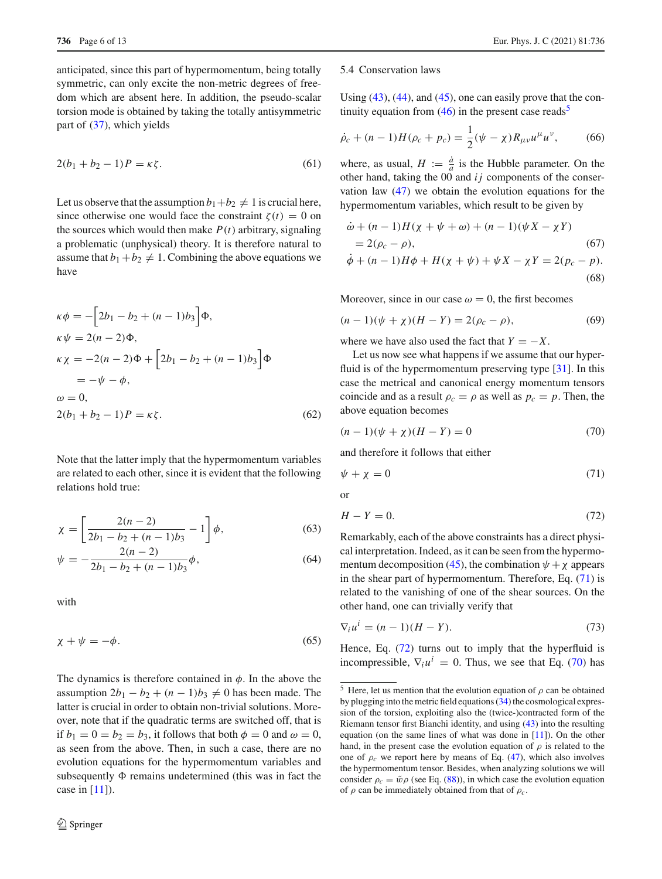anticipated, since this part of hypermomentum, being totally symmetric, can only excite the non-metric degrees of freedom which are absent here. In addition, the pseudo-scalar torsion mode is obtained by taking the totally antisymmetric part of (37), which yields

$$
2(b_1 + b_2 - 1)P = \kappa \zeta.
$$
 (61)

Let us observe that the assumption  $b_1+b_2 \neq 1$  is crucial here, since otherwise one would face the constraint  $\zeta(t) = 0$  on the sources which would then make  $P(t)$  arbitrary, signaling a problematic (unphysical) theory. It is therefore natural to assume that  $b_1 + b_2 \neq 1$ . Combining the above equations we have

$$
\kappa \phi = -[2b_1 - b_2 + (n-1)b_3] \Phi,
$$
  
\n
$$
\kappa \psi = 2(n-2)\Phi,
$$
  
\n
$$
\kappa \chi = -2(n-2)\Phi + [2b_1 - b_2 + (n-1)b_3] \Phi
$$
  
\n
$$
= -\psi - \phi,
$$
  
\n
$$
\omega = 0,
$$
  
\n
$$
2(b_1 + b_2 - 1)P = \kappa \zeta.
$$
 (62)

Note that the latter imply that the hypermomentum variables are related to each other, since it is evident that the following relations hold true:

$$
\chi = \left[\frac{2(n-2)}{2b_1 - b_2 + (n-1)b_3} - 1\right]\phi,
$$
\n(63)

$$
\psi = -\frac{2(n-2)}{2b_1 - b_2 + (n-1)b_3}\phi,
$$
\n(64)

with

$$
\chi + \psi = -\phi. \tag{65}
$$

The dynamics is therefore contained in  $\phi$ . In the above the assumption  $2b_1 - b_2 + (n-1)b_3 \neq 0$  has been made. The latter is crucial in order to obtain non-trivial solutions. Moreover, note that if the quadratic terms are switched off, that is if  $b_1 = 0 = b_2 = b_3$ , it follows that both  $\phi = 0$  and  $\omega = 0$ , as seen from the above. Then, in such a case, there are no evolution equations for the hypermomentum variables and subsequently  $\Phi$  remains undetermined (this was in fact the case in  $[11]$ ).

#### 5.4 Conservation laws

Using  $(43)$ ,  $(44)$ , and  $(45)$ , one can easily prove that the continuity equation from  $(46)$  in the present case reads<sup>5</sup>

$$
\dot{\rho}_c + (n-1)H(\rho_c + p_c) = \frac{1}{2}(\psi - \chi)R_{\mu\nu}u^{\mu}u^{\nu},\tag{66}
$$

where, as usual,  $H := \frac{\dot{a}}{a}$  is the Hubble parameter. On the other hand, taking the 00 and *i j* components of the conservation law (47) we obtain the evolution equations for the hypermomentum variables, which result to be given by

$$
\dot{\omega} + (n-1)H(\chi + \psi + \omega) + (n-1)(\psi X - \chi Y)
$$
  
= 2(\rho\_c - \rho), (67)  

$$
\dot{\phi} + (n-1)H\phi + H(\chi + \psi) + \psi X - \chi Y - 2(n - p)
$$

$$
\phi + (n-1)H\phi + H(\chi + \psi) + \psi X - \chi Y = 2(p_c - p).
$$
\n(68)

Moreover, since in our case  $\omega = 0$ , the first becomes

$$
(n-1)(\psi + \chi)(H - Y) = 2(\rho_c - \rho),
$$
\n(69)

where we have also used the fact that  $Y = -X$ .

Let us now see what happens if we assume that our hyperfluid is of the hypermomentum preserving type [31]. In this case the metrical and canonical energy momentum tensors coincide and as a result  $\rho_c = \rho$  as well as  $p_c = p$ . Then, the above equation becomes

$$
(n-1)(\psi + \chi)(H - Y) = 0 \tag{70}
$$

and therefore it follows that either

$$
\psi + \chi = 0 \tag{71}
$$

or

$$
H - Y = 0.\t\t(72)
$$

Remarkably, each of the above constraints has a direct physical interpretation. Indeed, as it can be seen from the hypermomentum decomposition (45), the combination  $\psi + \chi$  appears in the shear part of hypermomentum. Therefore, Eq. (71) is related to the vanishing of one of the shear sources. On the other hand, one can trivially verify that

$$
\nabla_i u^i = (n-1)(H-Y). \tag{73}
$$

Hence, Eq.  $(72)$  turns out to imply that the hyperfluid is incompressible,  $\nabla_i u^i = 0$ . Thus, we see that Eq. (70) has

<sup>&</sup>lt;sup>5</sup> Here, let us mention that the evolution equation of  $\rho$  can be obtained by plugging into the metric field equations (34) the cosmological expression of the torsion, exploiting also the (twice-)contracted form of the Riemann tensor first Bianchi identity, and using (43) into the resulting equation (on the same lines of what was done in  $[11]$ ). On the other hand, in the present case the evolution equation of  $\rho$  is related to the one of  $\rho_c$  we report here by means of Eq. (47), which also involves the hypermomentum tensor. Besides, when analyzing solutions we will consider  $\rho_c = \tilde{w}\rho$  (see Eq. (88)), in which case the evolution equation of  $\rho$  can be immediately obtained from that of  $\rho_c$ .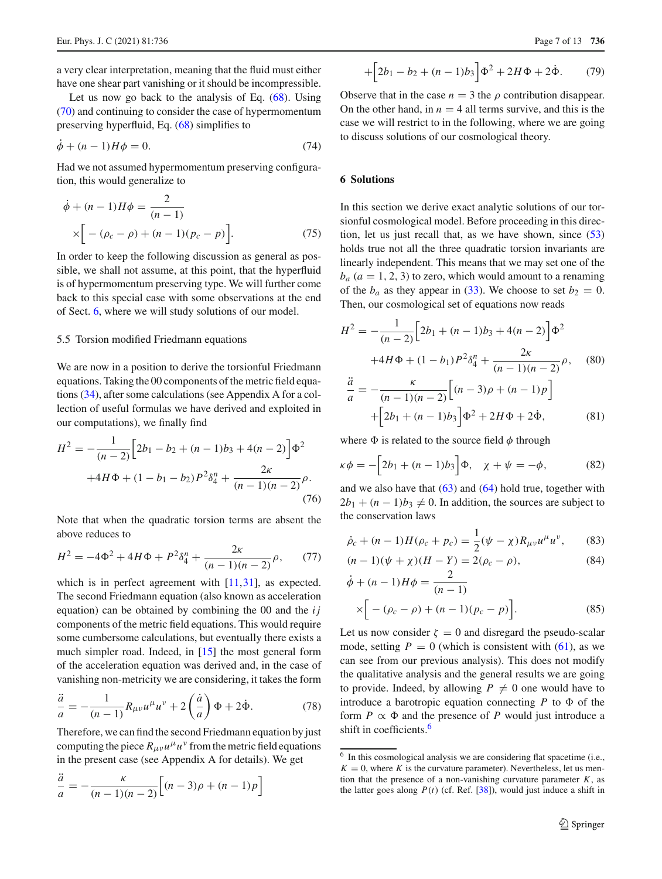a very clear interpretation, meaning that the fluid must either have one shear part vanishing or it should be incompressible.

Let us now go back to the analysis of Eq.  $(68)$ . Using (70) and continuing to consider the case of hypermomentum preserving hyperfluid, Eq. (68) simplifies to

$$
\dot{\phi} + (n-1)H\phi = 0.\tag{74}
$$

Had we not assumed hypermomentum preserving configuration, this would generalize to

$$
\dot{\phi} + (n-1)H\phi = \frac{2}{(n-1)}\n\times \left[ -(\rho_c - \rho) + (n-1)(p_c - p) \right].
$$
\n(75)

In order to keep the following discussion as general as possible, we shall not assume, at this point, that the hyperfluid is of hypermomentum preserving type. We will further come back to this special case with some observations at the end of Sect. 6, where we will study solutions of our model.

# 5.5 Torsion modified Friedmann equations

We are now in a position to derive the torsionful Friedmann equations. Taking the 00 components of the metric field equations (34), after some calculations (see Appendix A for a collection of useful formulas we have derived and exploited in our computations), we finally find

$$
H^{2} = -\frac{1}{(n-2)} \Big[ 2b_{1} - b_{2} + (n-1)b_{3} + 4(n-2) \Big] \Phi^{2}
$$

$$
+4H\Phi + (1-b_{1}-b_{2})P^{2} \delta_{4}^{n} + \frac{2\kappa}{(n-1)(n-2)} \rho.
$$
(76)

Note that when the quadratic torsion terms are absent the above reduces to

$$
H^{2} = -4\Phi^{2} + 4H\Phi + P^{2}\delta_{4}^{n} + \frac{2\kappa}{(n-1)(n-2)}\rho, \qquad (77)
$$

which is in perfect agreement with [11,31], as expected. The second Friedmann equation (also known as acceleration equation) can be obtained by combining the 00 and the *i j* components of the metric field equations. This would require some cumbersome calculations, but eventually there exists a much simpler road. Indeed, in [15] the most general form of the acceleration equation was derived and, in the case of vanishing non-metricity we are considering, it takes the form

$$
\frac{\ddot{a}}{a} = -\frac{1}{(n-1)}R_{\mu\nu}u^{\mu}u^{\nu} + 2\left(\frac{\dot{a}}{a}\right)\Phi + 2\dot{\Phi}.
$$
 (78)

Therefore, we can find the second Friedmann equation by just computing the piece  $R_{\mu\nu}u^{\mu}u^{\nu}$  from the metric field equations in the present case (see Appendix A for details). We get

$$
\frac{\ddot{a}}{a} = -\frac{\kappa}{(n-1)(n-2)} \Big[ (n-3)\rho + (n-1)p \Big]
$$

$$
+\left[2b_1 - b_2 + (n-1)b_3\right]\Phi^2 + 2H\Phi + 2\dot{\Phi}.
$$
 (79)

Observe that in the case  $n = 3$  the  $\rho$  contribution disappear. On the other hand, in  $n = 4$  all terms survive, and this is the case we will restrict to in the following, where we are going to discuss solutions of our cosmological theory.

### **6 Solutions**

In this section we derive exact analytic solutions of our torsionful cosmological model. Before proceeding in this direction, let us just recall that, as we have shown, since (53) holds true not all the three quadratic torsion invariants are linearly independent. This means that we may set one of the  $b_a$  ( $a = 1, 2, 3$ ) to zero, which would amount to a renaming of the  $b_a$  as they appear in (33). We choose to set  $b_2 = 0$ . Then, our cosmological set of equations now reads

$$
H^{2} = -\frac{1}{(n-2)} \Big[ 2b_{1} + (n-1)b_{3} + 4(n-2) \Big] \Phi^{2}
$$

$$
+4H\Phi + (1-b_{1})P^{2}\delta_{4}^{n} + \frac{2\kappa}{(n-1)(n-2)}\rho, \quad (80)
$$

$$
\frac{\ddot{a}}{a} = -\frac{\kappa}{(n-1)(n-2)} \Big[ (n-3)\rho + (n-1)p \Big] \n+ \Big[ 2b_1 + (n-1)b_3 \Big] \Phi^2 + 2H\Phi + 2\dot{\Phi},
$$
\n(81)

where  $\Phi$  is related to the source field  $\phi$  through

$$
\kappa \phi = -\left[2b_1 + (n-1)b_3\right] \Phi, \quad \chi + \psi = -\phi,\tag{82}
$$

and we also have that  $(63)$  and  $(64)$  hold true, together with  $2b_1 + (n-1)b_3 \neq 0$ . In addition, the sources are subject to the conservation laws

$$
\dot{\rho}_c + (n-1)H(\rho_c + p_c) = \frac{1}{2}(\psi - \chi)R_{\mu\nu}u^{\mu}u^{\nu},\qquad(83)
$$

$$
(n-1)(\psi + \chi)(H - Y) = 2(\rho_c - \rho),
$$
\n(84)

$$
\dot{\phi} + (n-1)H\phi = \frac{2}{(n-1)}\n\times \left[ -(\rho_c - \rho) + (n-1)(p_c - p) \right].
$$
\n(85)

Let us now consider  $\zeta = 0$  and disregard the pseudo-scalar mode, setting  $P = 0$  (which is consistent with (61), as we can see from our previous analysis). This does not modify the qualitative analysis and the general results we are going to provide. Indeed, by allowing  $P \neq 0$  one would have to introduce a barotropic equation connecting  $P$  to  $\Phi$  of the form  $P \propto \Phi$  and the presence of P would just introduce a shift in coefficients.<sup>6</sup>

<sup>6</sup> In this cosmological analysis we are considering flat spacetime (i.e.,  $K = 0$ , where *K* is the curvature parameter). Nevertheless, let us mention that the presence of a non-vanishing curvature parameter  $K$ , as the latter goes along  $P(t)$  (cf. Ref. [38]), would just induce a shift in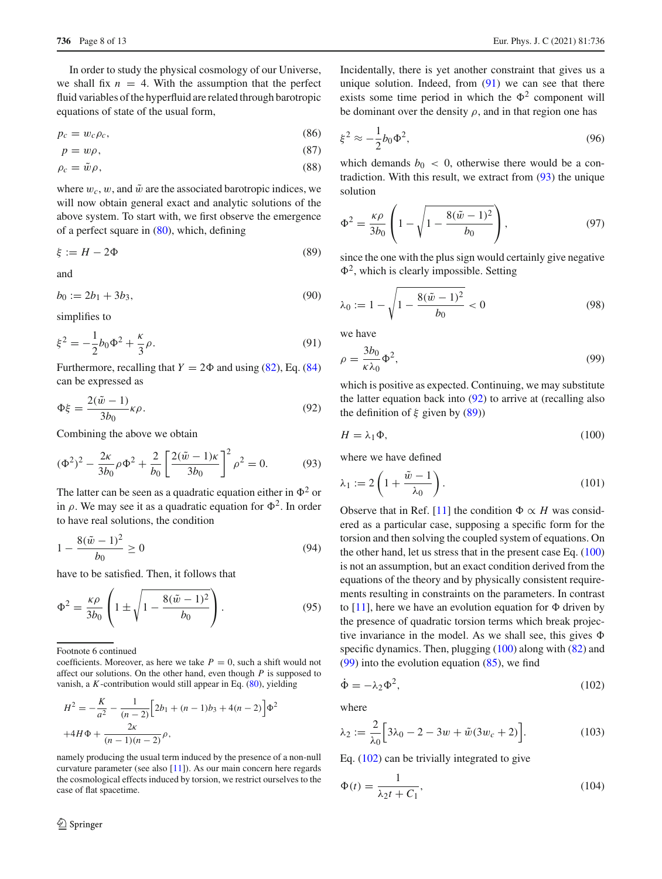In order to study the physical cosmology of our Universe, we shall fix  $n = 4$ . With the assumption that the perfect fluid variables of the hyperfluid are related through barotropic equations of state of the usual form,

$$
p_c = w_c \rho_c,\tag{86}
$$

$$
p = w\rho,\tag{87}
$$

$$
\rho_c = \tilde{w}\rho,\tag{88}
$$

where  $w_c$ , w, and  $\tilde{w}$  are the associated barotropic indices, we will now obtain general exact and analytic solutions of the above system. To start with, we first observe the emergence of a perfect square in (80), which, defining

$$
\xi := H - 2\Phi \tag{89}
$$

and

$$
b_0 := 2b_1 + 3b_3,\tag{90}
$$

simplifies to

$$
\xi^2 = -\frac{1}{2}b_0\Phi^2 + \frac{\kappa}{3}\rho.
$$
\n(91)

Furthermore, recalling that  $Y = 2\Phi$  and using (82), Eq. (84) can be expressed as

$$
\Phi \xi = \frac{2(\tilde{w} - 1)}{3b_0} \kappa \rho.
$$
\n(92)

Combining the above we obtain

$$
(\Phi^2)^2 - \frac{2\kappa}{3b_0} \rho \Phi^2 + \frac{2}{b_0} \left[ \frac{2(\tilde{w} - 1)\kappa}{3b_0} \right]^2 \rho^2 = 0.
$$
 (93)

The latter can be seen as a quadratic equation either in  $\Phi^2$  or in  $\rho$ . We may see it as a quadratic equation for  $\Phi^2$ . In order to have real solutions, the condition

$$
1 - \frac{8(\tilde{w} - 1)^2}{b_0} \ge 0
$$
\n(94)

have to be satisfied. Then, it follows that

$$
\Phi^2 = \frac{\kappa \rho}{3b_0} \left( 1 \pm \sqrt{1 - \frac{8(\tilde{w} - 1)^2}{b_0}} \right). \tag{95}
$$

Footnote 6 continued

coefficients. Moreover, as here we take  $P = 0$ , such a shift would not affect our solutions. On the other hand, even though *P* is supposed to vanish, a *K*-contribution would still appear in Eq. (80), yielding

$$
H^{2} = -\frac{K}{a^{2}} - \frac{1}{(n-2)} \Big[ 2b_{1} + (n-1)b_{3} + 4(n-2) \Big] \Phi^{2}
$$
  
+4H\Phi +  $\frac{2\kappa}{(n-1)(n-2)} \rho$ ,

namely producing the usual term induced by the presence of a non-null curvature parameter (see also [11]). As our main concern here regards the cosmological effects induced by torsion, we restrict ourselves to the case of flat spacetime.

Incidentally, there is yet another constraint that gives us a unique solution. Indeed, from  $(91)$  we can see that there exists some time period in which the  $\Phi^2$  component will be dominant over the density  $\rho$ , and in that region one has

$$
\xi^2 \approx -\frac{1}{2}b_0\Phi^2,\tag{96}
$$

which demands  $b_0 < 0$ , otherwise there would be a contradiction. With this result, we extract from (93) the unique solution

$$
\Phi^2 = \frac{\kappa \rho}{3b_0} \left( 1 - \sqrt{1 - \frac{8(\tilde{w} - 1)^2}{b_0}} \right),\tag{97}
$$

since the one with the plus sign would certainly give negative  $\Phi^2$ , which is clearly impossible. Setting

$$
\lambda_0 := 1 - \sqrt{1 - \frac{8(\tilde{w} - 1)^2}{b_0}} < 0
$$
\n(98)

we have

$$
\rho = \frac{3b_0}{\kappa \lambda_0} \Phi^2,\tag{99}
$$

which is positive as expected. Continuing, we may substitute the latter equation back into (92) to arrive at (recalling also the definition of  $\xi$  given by (89))

$$
H = \lambda_1 \Phi,\tag{100}
$$

where we have defined

$$
\lambda_1 := 2\left(1 + \frac{\tilde{w} - 1}{\lambda_0}\right). \tag{101}
$$

Observe that in Ref. [11] the condition  $\Phi \propto H$  was considered as a particular case, supposing a specific form for the torsion and then solving the coupled system of equations. On the other hand, let us stress that in the present case Eq. (100) is not an assumption, but an exact condition derived from the equations of the theory and by physically consistent requirements resulting in constraints on the parameters. In contrast to [11], here we have an evolution equation for  $\Phi$  driven by the presence of quadratic torsion terms which break projective invariance in the model. As we shall see, this gives  $\Phi$ specific dynamics. Then, plugging (100) along with (82) and (99) into the evolution equation (85), we find

$$
\dot{\Phi} = -\lambda_2 \Phi^2,\tag{102}
$$

where

$$
\lambda_2 := \frac{2}{\lambda_0} \Big[ 3\lambda_0 - 2 - 3w + \tilde{w}(3w_c + 2) \Big]. \tag{103}
$$

Eq. (102) can be trivially integrated to give

$$
\Phi(t) = \frac{1}{\lambda_2 t + C_1},\tag{104}
$$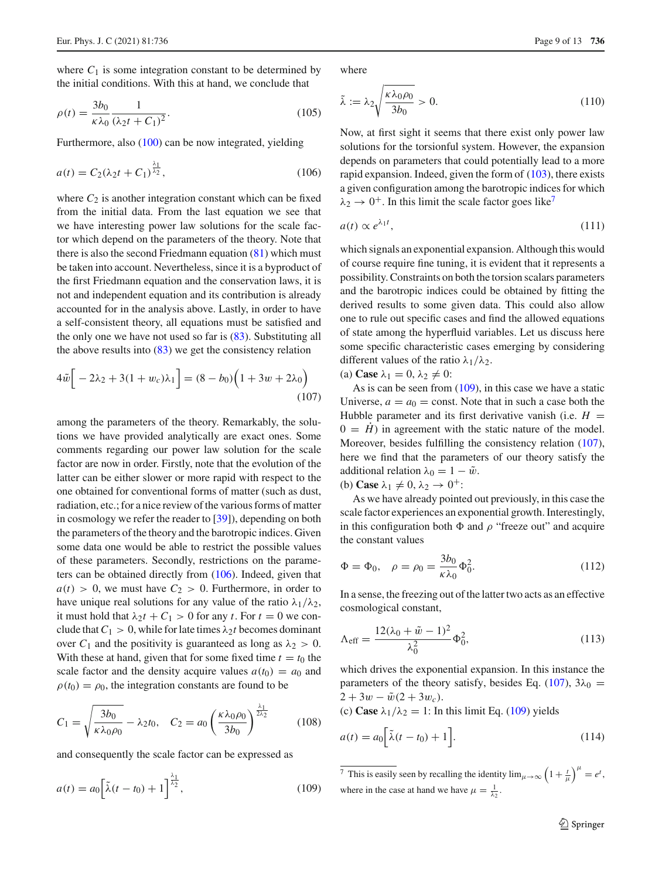where  $C_1$  is some integration constant to be determined by the initial conditions. With this at hand, we conclude that

$$
\rho(t) = \frac{3b_0}{\kappa \lambda_0} \frac{1}{(\lambda_2 t + C_1)^2}.
$$
\n(105)

Furthermore, also (100) can be now integrated, yielding

$$
a(t) = C_2(\lambda_2 t + C_1)^{\frac{\lambda_1}{\lambda_2}},\tag{106}
$$

where  $C_2$  is another integration constant which can be fixed from the initial data. From the last equation we see that we have interesting power law solutions for the scale factor which depend on the parameters of the theory. Note that there is also the second Friedmann equation  $(81)$  which must be taken into account. Nevertheless, since it is a byproduct of the first Friedmann equation and the conservation laws, it is not and independent equation and its contribution is already accounted for in the analysis above. Lastly, in order to have a self-consistent theory, all equations must be satisfied and the only one we have not used so far is (83). Substituting all the above results into  $(83)$  we get the consistency relation

$$
4\tilde{w} \Big[ -2\lambda_2 + 3(1 + w_c)\lambda_1 \Big] = (8 - b_0) \Big( 1 + 3w + 2\lambda_0 \Big)
$$
\n(107)

among the parameters of the theory. Remarkably, the solutions we have provided analytically are exact ones. Some comments regarding our power law solution for the scale factor are now in order. Firstly, note that the evolution of the latter can be either slower or more rapid with respect to the one obtained for conventional forms of matter (such as dust, radiation, etc.; for a nice review of the various forms of matter in cosmology we refer the reader to [39]), depending on both the parameters of the theory and the barotropic indices. Given some data one would be able to restrict the possible values of these parameters. Secondly, restrictions on the parameters can be obtained directly from (106). Indeed, given that  $a(t) > 0$ , we must have  $C_2 > 0$ . Furthermore, in order to have unique real solutions for any value of the ratio  $\lambda_1/\lambda_2$ , it must hold that  $\lambda_2 t + C_1 > 0$  for any *t*. For  $t = 0$  we conclude that  $C_1 > 0$ , while for late times  $\lambda_2 t$  becomes dominant over  $C_1$  and the positivity is guaranteed as long as  $\lambda_2 > 0$ . With these at hand, given that for some fixed time  $t = t_0$  the scale factor and the density acquire values  $a(t_0) = a_0$  and  $\rho(t_0) = \rho_0$ , the integration constants are found to be

$$
C_1 = \sqrt{\frac{3b_0}{\kappa \lambda_0 \rho_0}} - \lambda_2 t_0, \quad C_2 = a_0 \left(\frac{\kappa \lambda_0 \rho_0}{3b_0}\right)^{\frac{\lambda_1}{2\lambda_2}} \tag{108}
$$

and consequently the scale factor can be expressed as

$$
a(t) = a_0 \left[ \tilde{\lambda}(t - t_0) + 1 \right]^{\frac{\lambda_1}{\lambda_2}},
$$
\n(109)

where

$$
\tilde{\lambda} := \lambda_2 \sqrt{\frac{\kappa \lambda_0 \rho_0}{3b_0}} > 0. \tag{110}
$$

Now, at first sight it seems that there exist only power law solutions for the torsionful system. However, the expansion depends on parameters that could potentially lead to a more rapid expansion. Indeed, given the form of (103), there exists a given configuration among the barotropic indices for which  $\lambda_2 \rightarrow 0^+$ . In this limit the scale factor goes like<sup>7</sup>

$$
a(t) \propto e^{\lambda_1 t},\tag{111}
$$

which signals an exponential expansion. Although this would of course require fine tuning, it is evident that it represents a possibility. Constraints on both the torsion scalars parameters and the barotropic indices could be obtained by fitting the derived results to some given data. This could also allow one to rule out specific cases and find the allowed equations of state among the hyperfluid variables. Let us discuss here some specific characteristic cases emerging by considering different values of the ratio  $\lambda_1/\lambda_2$ .

(a) Case 
$$
\lambda_1 = 0, \lambda_2 \neq 0
$$
:

As is can be seen from  $(109)$ , in this case we have a static Universe,  $a = a_0$  = const. Note that in such a case both the Hubble parameter and its first derivative vanish (i.e.  $H =$  $0 = H$ ) in agreement with the static nature of the model. Moreover, besides fulfilling the consistency relation (107), here we find that the parameters of our theory satisfy the additional relation  $\lambda_0 = 1 - \tilde{w}$ .

(b) **Case**  $\lambda_1 \neq 0$ ,  $\lambda_2 \rightarrow 0^+$ :

As we have already pointed out previously, in this case the scale factor experiences an exponential growth. Interestingly, in this configuration both  $\Phi$  and  $\rho$  "freeze out" and acquire the constant values

$$
\Phi = \Phi_0, \quad \rho = \rho_0 = \frac{3b_0}{\kappa \lambda_0} \Phi_0^2. \tag{112}
$$

In a sense, the freezing out of the latter two acts as an effective cosmological constant,

$$
\Lambda_{\text{eff}} = \frac{12(\lambda_0 + \tilde{w} - 1)^2}{\lambda_0^2} \Phi_0^2, \tag{113}
$$

which drives the exponential expansion. In this instance the parameters of the theory satisfy, besides Eq. (107),  $3\lambda_0 =$  $2 + 3w - \tilde{w}(2 + 3w_c).$ (c) **Case**  $\lambda_1/\lambda_2 = 1$ : In this limit Eq. (109) yields

$$
a(t) = a_0 \left[ \tilde{\lambda}(t - t_0) + 1 \right]. \tag{114}
$$

 $\frac{1}{\sqrt{7}}$  This is easily seen by recalling the identity  $\lim_{\mu \to \infty} \left(1 + \frac{t}{\mu}\right)^{\mu} = e^{t}$ , where in the case at hand we have  $\mu = \frac{1}{\lambda_2}$ .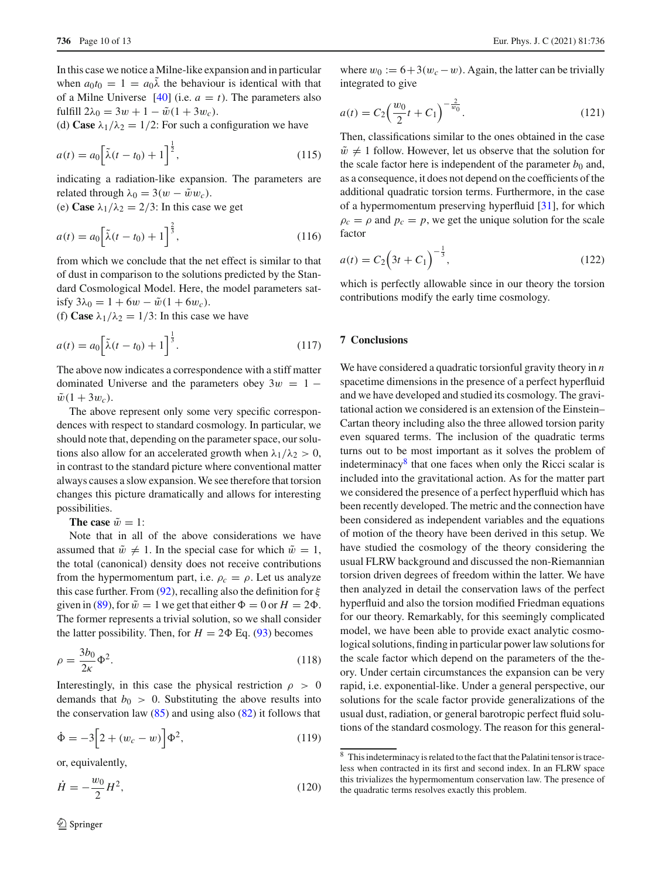In this case we notice a Milne-like expansion and in particular when  $a_0t_0 = 1 = a_0\tilde{\lambda}$  the behaviour is identical with that of a Milne Universe  $[40]$  (i.e.  $a = t$ ). The parameters also fulfill  $2\lambda_0 = 3w + 1 - \tilde{w}(1 + 3w_c)$ .

(d) **Case**  $\lambda_1/\lambda_2 = 1/2$ : For such a configuration we have

$$
a(t) = a_0 \left[ \tilde{\lambda}(t - t_0) + 1 \right]^{\frac{1}{2}},
$$
\n(115)

indicating a radiation-like expansion. The parameters are related through  $\lambda_0 = 3(w - \tilde{w}w_c)$ .

(e) **Case**  $\lambda_1/\lambda_2 = 2/3$ : In this case we get

$$
a(t) = a_0 \left[ \tilde{\lambda}(t - t_0) + 1 \right]^{\frac{2}{3}},
$$
\n(116)

from which we conclude that the net effect is similar to that of dust in comparison to the solutions predicted by the Standard Cosmological Model. Here, the model parameters satisfy  $3\lambda_0 = 1 + 6w - \tilde{w}(1 + 6w_c)$ .

(f) **Case**  $\lambda_1/\lambda_2 = 1/3$ : In this case we have

$$
a(t) = a_0 \left[ \tilde{\lambda}(t - t_0) + 1 \right]^{\frac{1}{3}}.
$$
 (117)

The above now indicates a correspondence with a stiff matter dominated Universe and the parameters obey  $3w = 1 \tilde{w}(1 + 3w_c)$ .

The above represent only some very specific correspondences with respect to standard cosmology. In particular, we should note that, depending on the parameter space, our solutions also allow for an accelerated growth when  $\lambda_1/\lambda_2 > 0$ , in contrast to the standard picture where conventional matter always causes a slow expansion. We see therefore that torsion changes this picture dramatically and allows for interesting possibilities.

**The case**  $\tilde{w} = 1$ :

Note that in all of the above considerations we have assumed that  $\tilde{w} \neq 1$ . In the special case for which  $\tilde{w} = 1$ , the total (canonical) density does not receive contributions from the hypermomentum part, i.e.  $\rho_c = \rho$ . Let us analyze this case further. From (92), recalling also the definition for  $\xi$ given in (89), for  $\tilde{w} = 1$  we get that either  $\Phi = 0$  or  $H = 2\Phi$ . The former represents a trivial solution, so we shall consider the latter possibility. Then, for  $H = 2\Phi$  Eq. (93) becomes

$$
\rho = \frac{3b_0}{2\kappa} \Phi^2. \tag{118}
$$

Interestingly, in this case the physical restriction  $\rho > 0$ demands that  $b_0 > 0$ . Substituting the above results into the conservation law  $(85)$  and using also  $(82)$  it follows that

$$
\dot{\Phi} = -3 \Big[ 2 + (w_c - w) \Big] \Phi^2,
$$
\n(119)

or, equivalently,

$$
\dot{H} = -\frac{w_0}{2}H^2,\tag{120}
$$

where  $w_0 := 6 + 3(w_c - w)$ . Again, the latter can be trivially integrated to give

$$
a(t) = C_2 \left(\frac{w_0}{2}t + C_1\right)^{-\frac{2}{w_0}}.
$$
\n(121)

Then, classifications similar to the ones obtained in the case  $\tilde{w} \neq 1$  follow. However, let us observe that the solution for the scale factor here is independent of the parameter  $b_0$  and, as a consequence, it does not depend on the coefficients of the additional quadratic torsion terms. Furthermore, in the case of a hypermomentum preserving hyperfluid [31], for which  $\rho_c = \rho$  and  $p_c = p$ , we get the unique solution for the scale factor

$$
a(t) = C_2 \left(3t + C_1\right)^{-\frac{1}{3}},\tag{122}
$$

which is perfectly allowable since in our theory the torsion contributions modify the early time cosmology.

# **7 Conclusions**

We have considered a quadratic torsionful gravity theory in *n* spacetime dimensions in the presence of a perfect hyperfluid and we have developed and studied its cosmology. The gravitational action we considered is an extension of the Einstein– Cartan theory including also the three allowed torsion parity even squared terms. The inclusion of the quadratic terms turns out to be most important as it solves the problem of indeterminacy $8$  that one faces when only the Ricci scalar is included into the gravitational action. As for the matter part we considered the presence of a perfect hyperfluid which has been recently developed. The metric and the connection have been considered as independent variables and the equations of motion of the theory have been derived in this setup. We have studied the cosmology of the theory considering the usual FLRW background and discussed the non-Riemannian torsion driven degrees of freedom within the latter. We have then analyzed in detail the conservation laws of the perfect hyperfluid and also the torsion modified Friedman equations for our theory. Remarkably, for this seemingly complicated model, we have been able to provide exact analytic cosmological solutions, finding in particular power law solutions for the scale factor which depend on the parameters of the theory. Under certain circumstances the expansion can be very rapid, i.e. exponential-like. Under a general perspective, our solutions for the scale factor provide generalizations of the usual dust, radiation, or general barotropic perfect fluid solutions of the standard cosmology. The reason for this general-

<sup>8</sup> This indeterminacy is related to the fact that the Palatini tensor is traceless when contracted in its first and second index. In an FLRW space this trivializes the hypermomentum conservation law. The presence of the quadratic terms resolves exactly this problem.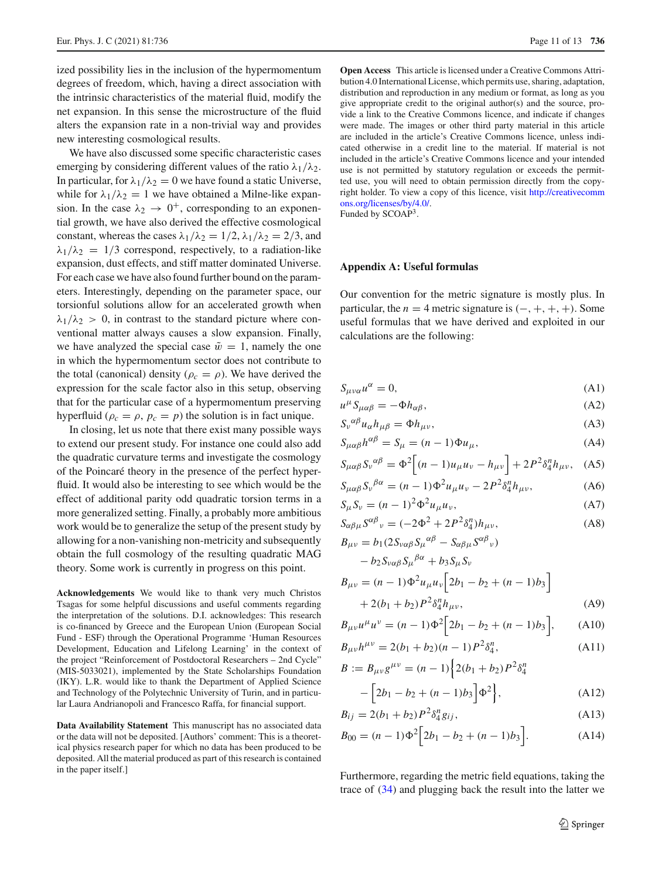ized possibility lies in the inclusion of the hypermomentum degrees of freedom, which, having a direct association with the intrinsic characteristics of the material fluid, modify the net expansion. In this sense the microstructure of the fluid alters the expansion rate in a non-trivial way and provides new interesting cosmological results.

We have also discussed some specific characteristic cases emerging by considering different values of the ratio  $\lambda_1/\lambda_2$ . In particular, for  $\lambda_1/\lambda_2 = 0$  we have found a static Universe, while for  $\lambda_1/\lambda_2 = 1$  we have obtained a Milne-like expansion. In the case  $\lambda_2 \rightarrow 0^+$ , corresponding to an exponential growth, we have also derived the effective cosmological constant, whereas the cases  $\lambda_1/\lambda_2 = 1/2$ ,  $\lambda_1/\lambda_2 = 2/3$ , and  $\lambda_1/\lambda_2 = 1/3$  correspond, respectively, to a radiation-like expansion, dust effects, and stiff matter dominated Universe. For each case we have also found further bound on the parameters. Interestingly, depending on the parameter space, our torsionful solutions allow for an accelerated growth when  $\lambda_1/\lambda_2$  > 0, in contrast to the standard picture where conventional matter always causes a slow expansion. Finally, we have analyzed the special case  $\tilde{w} = 1$ , namely the one in which the hypermomentum sector does not contribute to the total (canonical) density ( $\rho_c = \rho$ ). We have derived the expression for the scale factor also in this setup, observing that for the particular case of a hypermomentum preserving hyperfluid ( $\rho_c = \rho$ ,  $p_c = p$ ) the solution is in fact unique.

In closing, let us note that there exist many possible ways to extend our present study. For instance one could also add the quadratic curvature terms and investigate the cosmology of the Poincaré theory in the presence of the perfect hyperfluid. It would also be interesting to see which would be the effect of additional parity odd quadratic torsion terms in a more generalized setting. Finally, a probably more ambitious work would be to generalize the setup of the present study by allowing for a non-vanishing non-metricity and subsequently obtain the full cosmology of the resulting quadratic MAG theory. Some work is currently in progress on this point.

**Acknowledgements** We would like to thank very much Christos Tsagas for some helpful discussions and useful comments regarding the interpretation of the solutions. D.I. acknowledges: This research is co-financed by Greece and the European Union (European Social Fund - ESF) through the Operational Programme 'Human Resources Development, Education and Lifelong Learning' in the context of the project "Reinforcement of Postdoctoral Researchers – 2nd Cycle" (MIS-5033021), implemented by the State Scholarships Foundation (IKY). L.R. would like to thank the Department of Applied Science and Technology of the Polytechnic University of Turin, and in particular Laura Andrianopoli and Francesco Raffa, for financial support.

**Data Availability Statement** This manuscript has no associated data or the data will not be deposited. [Authors' comment: This is a theoretical physics research paper for which no data has been produced to be deposited. All the material produced as part of this research is contained in the paper itself.]

**Open Access** This article is licensed under a Creative Commons Attribution 4.0 International License, which permits use, sharing, adaptation, distribution and reproduction in any medium or format, as long as you give appropriate credit to the original author(s) and the source, provide a link to the Creative Commons licence, and indicate if changes were made. The images or other third party material in this article are included in the article's Creative Commons licence, unless indicated otherwise in a credit line to the material. If material is not included in the article's Creative Commons licence and your intended use is not permitted by statutory regulation or exceeds the permitted use, you will need to obtain permission directly from the copyright holder. To view a copy of this licence, visit [http://creativecomm](http://creativecommons.org/licenses/by/4.0/) [ons.org/licenses/by/4.0/.](http://creativecommons.org/licenses/by/4.0/)

Funded by SCOAP<sup>3</sup>.

# **Appendix A: Useful formulas**

Our convention for the metric signature is mostly plus. In particular, the  $n = 4$  metric signature is  $(-, +, +, +)$ . Some useful formulas that we have derived and exploited in our calculations are the following:

$$
S_{\mu\nu\alpha}u^{\alpha} = 0, \tag{A1}
$$

$$
u^{\mu} S_{\mu\alpha\beta} = -\Phi h_{\alpha\beta},\tag{A2}
$$

$$
S_{\nu}{}^{\alpha\beta}u_{\alpha}h_{\mu\beta} = \Phi h_{\mu\nu},\tag{A3}
$$

$$
S_{\mu\alpha\beta}h^{\alpha\beta} = S_{\mu} = (n-1)\Phi u_{\mu},\tag{A4}
$$

$$
S_{\mu\alpha\beta}S_{\nu}^{\alpha\beta} = \Phi^2 \Big[ (n-1)u_{\mu}u_{\nu} - h_{\mu\nu} \Big] + 2P^2 \delta_4^n h_{\mu\nu}, \quad (A5)
$$

$$
S_{\mu\alpha\beta}S_{\nu}^{\ \beta\alpha} = (n-1)\Phi^2 u_{\mu} u_{\nu} - 2P^2 \delta_4^n h_{\mu\nu},\tag{A6}
$$

$$
S_{\mu} S_{\nu} = (n-1)^2 \Phi^2 u_{\mu} u_{\nu}, \tag{A7}
$$

$$
S_{\alpha\beta\mu}S^{\alpha\beta}{}_{\nu} = (-2\Phi^2 + 2P^2\delta^{\eta}_4)h_{\mu\nu},
$$
\n(A8)

$$
B_{\mu\nu} = b_1 (2S_{\nu\alpha\beta} S_{\mu}^{\alpha\beta} - S_{\alpha\beta\mu} S^{\alpha\beta}{}_{\nu})
$$
  
\n
$$
- b_2 S_{\nu\alpha\beta} S_{\mu}^{\beta\alpha} + b_3 S_{\mu} S_{\nu}
$$
  
\n
$$
B_{\mu\nu} = (n - 1) \Phi^2 u_{\mu} u_{\nu} \Big[ 2b_1 - b_2 + (n - 1)b_3 \Big]
$$
  
\n
$$
+ 2(b_1 + b_2) P^2 \delta_4^n h_{\mu\nu}, \qquad (A9)
$$

$$
B_{\mu\nu}u^{\mu}u^{\nu} = (n-1)\Phi^{2}\Big[2b_{1}-b_{2}+(n-1)b_{3}\Big], \quad (A10)
$$

$$
B_{\mu\nu}h^{\mu\nu} = 2(b_1 + b_2)(n - 1)P^2\delta_4^n,
$$
 (A11)

$$
B := B_{\mu\nu} g^{\mu\nu} = (n-1) \left\{ 2(b_1 + b_2) P^2 \delta_4^n \right\}
$$

$$
-\left[2b_1-b_2+(n-1)b_3\right]\Phi^2\Big\},\tag{A12}
$$

$$
B_{ij} = 2(b_1 + b_2)P^2 \delta_4^n g_{ij}, \tag{A13}
$$

$$
B_{00} = (n-1)\Phi^2 \Big[ 2b_1 - b_2 + (n-1)b_3 \Big]. \tag{A14}
$$

Furthermore, regarding the metric field equations, taking the trace of (34) and plugging back the result into the latter we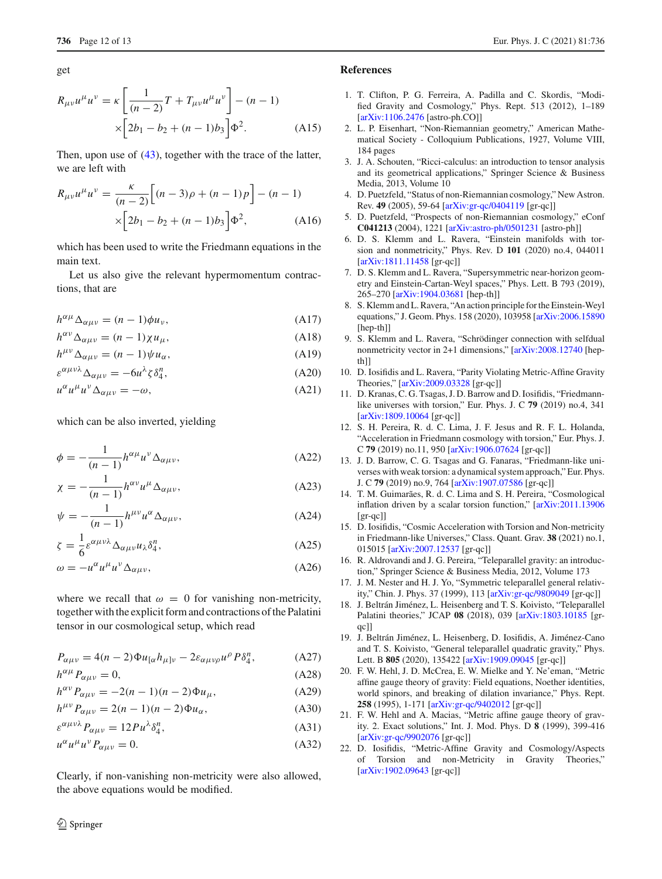get

$$
R_{\mu\nu}u^{\mu}u^{\nu} = \kappa \left[ \frac{1}{(n-2)}T + T_{\mu\nu}u^{\mu}u^{\nu} \right] - (n-1)
$$
  
 
$$
\times \left[ 2b_1 - b_2 + (n-1)b_3 \right] \Phi^2.
$$
 (A15)

Then, upon use of (43), together with the trace of the latter, we are left with

$$
R_{\mu\nu}u^{\mu}u^{\nu} = \frac{\kappa}{(n-2)} \Big[ (n-3)\rho + (n-1)p \Big] - (n-1) \times \Big[ 2b_1 - b_2 + (n-1)b_3 \Big] \Phi^2, \tag{A16}
$$

which has been used to write the Friedmann equations in the main text.

Let us also give the relevant hypermomentum contractions, that are

$$
h^{\alpha\mu}\Delta_{\alpha\mu\nu} = (n-1)\phi u_{\nu},\tag{A17}
$$

$$
h^{\alpha\nu}\Delta_{\alpha\mu\nu} = (n-1)\chi u_{\mu},\tag{A18}
$$

$$
h^{\mu\nu}\Delta_{\alpha\mu\nu} = (n-1)\psi u_{\alpha},\tag{A19}
$$

$$
\varepsilon^{\alpha\mu\nu\lambda}\Delta_{\alpha\mu\nu} = -6u^{\lambda}\zeta\delta_4^n,\tag{A20}
$$

$$
u^{\alpha}u^{\mu}u^{\nu}\Delta_{\alpha\mu\nu} = -\omega,\tag{A21}
$$

which can be also inverted, yielding

$$
\phi = -\frac{1}{(n-1)} h^{\alpha\mu} u^{\nu} \Delta_{\alpha\mu\nu},\tag{A22}
$$

$$
\chi = -\frac{1}{(n-1)} h^{\alpha\nu} u^{\mu} \Delta_{\alpha\mu\nu},\tag{A23}
$$

$$
\psi = -\frac{1}{(n-1)} h^{\mu\nu} u^{\alpha} \Delta_{\alpha\mu\nu},\tag{A24}
$$

$$
\zeta = \frac{1}{6} \varepsilon^{\alpha \mu \nu \lambda} \Delta_{\alpha \mu \nu} u_{\lambda} \delta_{4}^{n}, \tag{A25}
$$

$$
\omega = -u^{\alpha}u^{\mu}u^{\nu}\Delta_{\alpha\mu\nu},\tag{A26}
$$

where we recall that  $\omega = 0$  for vanishing non-metricity, together with the explicit form and contractions of the Palatini tensor in our cosmological setup, which read

$$
P_{\alpha\mu\nu} = 4(n-2)\Phi u_{[\alpha}h_{\mu]\nu} - 2\varepsilon_{\alpha\mu\nu\rho}u^{\rho}P\delta_{4}^{n}, \qquad (A27)
$$

$$
h^{\alpha\mu}P_{\alpha\mu\nu}=0,\tag{A28}
$$

$$
h^{\alpha\nu}P_{\alpha\mu\nu} = -2(n-1)(n-2)\Phi u_{\mu}, \tag{A29}
$$

$$
h^{\mu\nu}P_{\alpha\mu\nu} = 2(n-1)(n-2)\Phi u_{\alpha},\tag{A30}
$$

$$
\varepsilon^{\alpha\mu\nu\lambda}P_{\alpha\mu\nu} = 12Pu^{\lambda}\delta_4^n,\tag{A31}
$$

 $u^{\alpha}u^{\mu}u^{\nu}P_{\alpha\mu\nu} = 0.$  (A32)

Clearly, if non-vanishing non-metricity were also allowed, the above equations would be modified.

# **References**

- 1. T. Clifton, P. G. Ferreira, A. Padilla and C. Skordis, "Modified Gravity and Cosmology," Phys. Rept. 513 (2012), 1–189 [\[arXiv:1106.2476](http://arxiv.org/abs/1106.2476) [astro-ph.CO]]
- 2. L. P. Eisenhart, "Non-Riemannian geometry," American Mathematical Society - Colloquium Publications, 1927, Volume VIII, 184 pages
- 3. J. A. Schouten, "Ricci-calculus: an introduction to tensor analysis and its geometrical applications," Springer Science & Business Media, 2013, Volume 10
- 4. D. Puetzfeld, "Status of non-Riemannian cosmology," New Astron. Rev. **49** (2005), 59-64 [\[arXiv:gr-qc/0404119](http://arxiv.org/abs/gr-qc/0404119) [gr-qc]]
- 5. D. Puetzfeld, "Prospects of non-Riemannian cosmology," eConf **C041213** (2004), 1221 [\[arXiv:astro-ph/0501231](http://arxiv.org/abs/astro-ph/0501231) [astro-ph]]
- 6. D. S. Klemm and L. Ravera, "Einstein manifolds with torsion and nonmetricity," Phys. Rev. D **101** (2020) no.4, 044011 [\[arXiv:1811.11458](http://arxiv.org/abs/1811.11458) [gr-qc]]
- 7. D. S. Klemm and L. Ravera, "Supersymmetric near-horizon geometry and Einstein-Cartan-Weyl spaces," Phys. Lett. B 793 (2019), 265–270 [\[arXiv:1904.03681](http://arxiv.org/abs/1904.03681) [hep-th]]
- 8. S. Klemm and L. Ravera, "An action principle for the Einstein-Weyl equations," J. Geom. Phys. 158 (2020), 103958 [\[arXiv:2006.15890](http://arxiv.org/abs/2006.15890) [hep-th]]
- 9. S. Klemm and L. Ravera, "Schrödinger connection with selfdual nonmetricity vector in 2+1 dimensions," [\[arXiv:2008.12740](http://arxiv.org/abs/2008.12740) [hepth<sub>11</sub>
- 10. D. Iosifidis and L. Ravera, "Parity Violating Metric-Affine Gravity Theories," [\[arXiv:2009.03328](http://arxiv.org/abs/2009.03328) [gr-qc]]
- 11. D. Kranas, C. G. Tsagas, J. D. Barrow and D. Iosifidis, "Friedmannlike universes with torsion," Eur. Phys. J. C **79** (2019) no.4, 341 [\[arXiv:1809.10064](http://arxiv.org/abs/1809.10064) [gr-qc]]
- 12. S. H. Pereira, R. d. C. Lima, J. F. Jesus and R. F. L. Holanda, "Acceleration in Friedmann cosmology with torsion," Eur. Phys. J. C **79** (2019) no.11, 950 [\[arXiv:1906.07624](http://arxiv.org/abs/1906.07624) [gr-qc]]
- 13. J. D. Barrow, C. G. Tsagas and G. Fanaras, "Friedmann-like universes with weak torsion: a dynamical system approach," Eur. Phys. J. C **79** (2019) no.9, 764 [\[arXiv:1907.07586](http://arxiv.org/abs/1907.07586) [gr-qc]]
- 14. T. M. Guimarães, R. d. C. Lima and S. H. Pereira, "Cosmological inflation driven by a scalar torsion function," [\[arXiv:2011.13906](http://arxiv.org/abs/2011.13906) [gr-qc]]
- 15. D. Iosifidis, "Cosmic Acceleration with Torsion and Non-metricity in Friedmann-like Universes," Class. Quant. Grav. **38** (2021) no.1, 015015 [\[arXiv:2007.12537](http://arxiv.org/abs/2007.12537) [gr-qc]]
- 16. R. Aldrovandi and J. G. Pereira, "Teleparallel gravity: an introduction," Springer Science & Business Media, 2012, Volume 173
- 17. J. M. Nester and H. J. Yo, "Symmetric teleparallel general relativity," Chin. J. Phys. 37 (1999), 113 [\[arXiv:gr-qc/9809049](http://arxiv.org/abs/gr-qc/9809049) [gr-qc]]
- 18. J. Beltrán Jiménez, L. Heisenberg and T. S. Koivisto, "Teleparallel Palatini theories," JCAP **08** (2018), 039 [\[arXiv:1803.10185](http://arxiv.org/abs/1803.10185) [grqc]]
- 19. J. Beltrán Jiménez, L. Heisenberg, D. Iosifidis, A. Jiménez-Cano and T. S. Koivisto, "General teleparallel quadratic gravity," Phys. Lett. B **805** (2020), 135422 [\[arXiv:1909.09045](http://arxiv.org/abs/1909.09045) [gr-qc]]
- 20. F. W. Hehl, J. D. McCrea, E. W. Mielke and Y. Ne'eman, "Metric affine gauge theory of gravity: Field equations, Noether identities, world spinors, and breaking of dilation invariance," Phys. Rept. **258** (1995), 1-171 [\[arXiv:gr-qc/9402012](http://arxiv.org/abs/gr-qc/9402012) [gr-qc]]
- 21. F. W. Hehl and A. Macias, "Metric affine gauge theory of gravity. 2. Exact solutions," Int. J. Mod. Phys. D **8** (1999), 399-416 [\[arXiv:gr-qc/9902076](http://arxiv.org/abs/gr-qc/9902076) [gr-qc]]
- 22. D. Iosifidis, "Metric-Affine Gravity and Cosmology/Aspects of Torsion and non-Metricity in Gravity Theories," [\[arXiv:1902.09643](http://arxiv.org/abs/1902.09643) [gr-qc]]